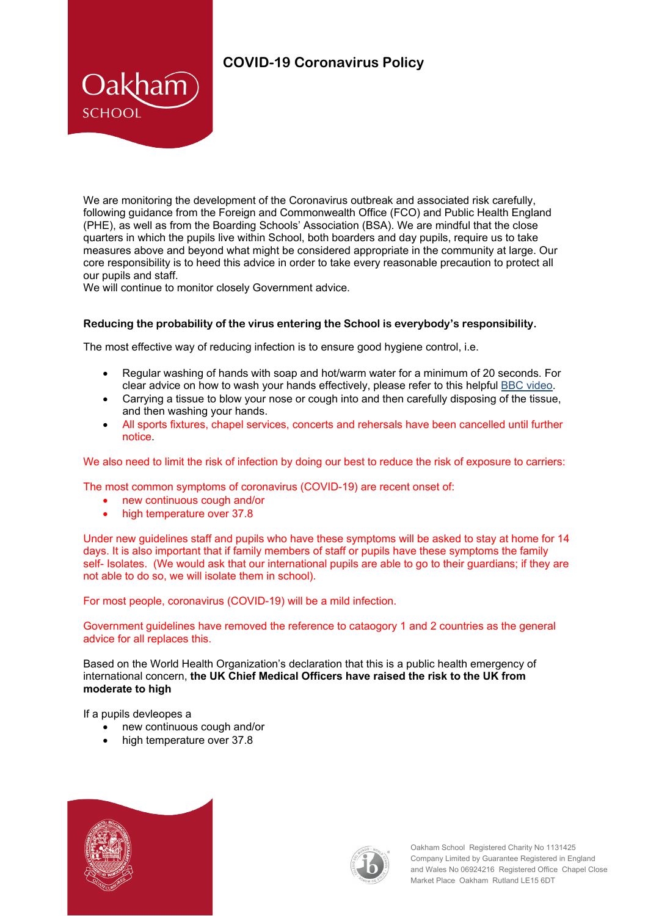## **COVID-19 Coronavirus Policy**

We are monitoring the development of the Coronavirus outbreak and associated risk carefully. following guidance from the Foreign and Commonwealth Office (FCO) and Public Health England (PHE), as well as from the Boarding Schools' Association (BSA). We are mindful that the close quarters in which the pupils live within School, both boarders and day pupils, require us to take measures above and beyond what might be considered appropriate in the community at large. Our core responsibility is to heed this advice in order to take every reasonable precaution to protect all our pupils and staff.

We will continue to monitor closely Government advice.

Oakham

**SCHOOL** 

## **Reducing the probability of the virus entering the School is everybody's responsibility.**

The most effective way of reducing infection is to ensure good hygiene control, i.e.

- Regular washing of hands with soap and hot/warm water for a minimum of 20 seconds. For clear advice on how to wash your hands effectively, please refer to this helpful [BBC video.](https://www.bbc.co.uk/news/av/health-51722269/coronavirus-how-do-i-protect-myself)
- Carrying a tissue to blow your nose or cough into and then carefully disposing of the tissue, and then washing your hands.
- All sports fixtures, chapel services, concerts and rehersals have been cancelled until further notice.

We also need to limit the risk of infection by doing our best to reduce the risk of exposure to carriers:

The most common symptoms of coronavirus (COVID-19) are recent onset of:

- new continuous cough and/or
- high temperature over 37.8

Under new guidelines staff and pupils who have these symptoms will be asked to stay at home for 14 days. It is also important that if family members of staff or pupils have these symptoms the family self- Isolates. (We would ask that our international pupils are able to go to their guardians; if they are not able to do so, we will isolate them in school).

For most people, coronavirus (COVID-19) will be a mild infection.

Government guidelines have removed the reference to cataogory 1 and 2 countries as the general advice for all replaces this.

Based on the World Health Organization's declaration that this is a public health emergency of international concern, **the [UK Chief Medical Officers have raised the risk to the UK from](https://www.gov.uk/government/news/statement-from-the-four-uk-chief-medical-officers-on-novel-coronavirus)  [moderate](https://www.gov.uk/government/news/statement-from-the-four-uk-chief-medical-officers-on-novel-coronavirus) to high**

If a pupils devleopes a

- new continuous cough and/or
- high temperature over 37.8





Oakham School Registered Charity No 1131425 Company Limited by Guarantee Registered in England and Wales No 06924216 Registered Office Chapel Close Market Place Oakham Rutland LE15 6DT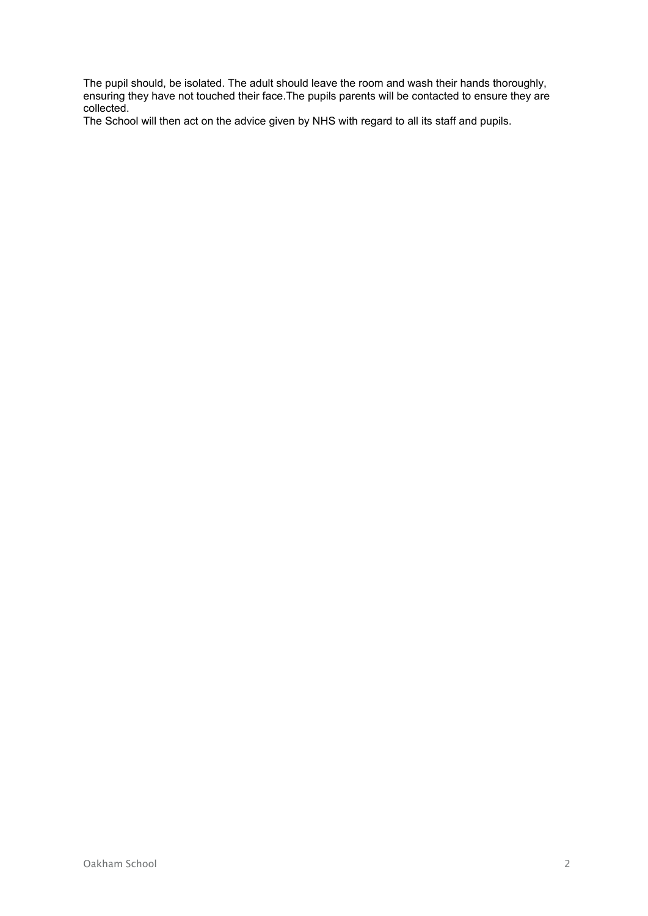The pupil should, be isolated. The adult should leave the room and wash their hands thoroughly, ensuring they have not touched their face.The pupils parents will be contacted to ensure they are collected.

The School will then act on the advice given by NHS with regard to all its staff and pupils.